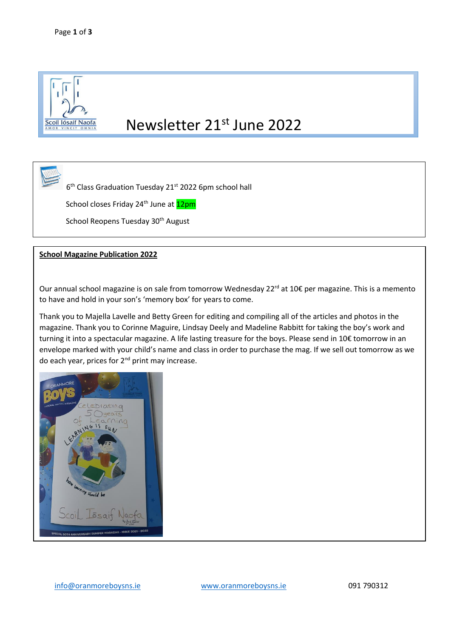

## Newsletter 21<sup>st</sup> June 2022

6<sup>th</sup> Class Graduation Tuesday 21<sup>st</sup> 2022 6pm school hall

School closes Friday 24<sup>th</sup> June at <mark>12pm</mark>

School Reopens Tuesday 30<sup>th</sup> August

## **School Magazine Publication 2022**

Our annual school magazine is on sale from tomorrow Wednesday 22<sup>rd</sup> at 10€ per magazine. This is a memento to have and hold in your son's 'memory box' for years to come.

Thank you to Majella Lavelle and Betty Green for editing and compiling all of the articles and photos in the magazine. Thank you to Corinne Maguire, Lindsay Deely and Madeline Rabbitt for taking the boy's work and turning it into a spectacular magazine. A life lasting treasure for the boys. Please send in 10€ tomorrow in an envelope marked with your child's name and class in order to purchase the mag. If we sell out tomorrow as we do each year, prices for  $2<sup>nd</sup>$  print may increase.

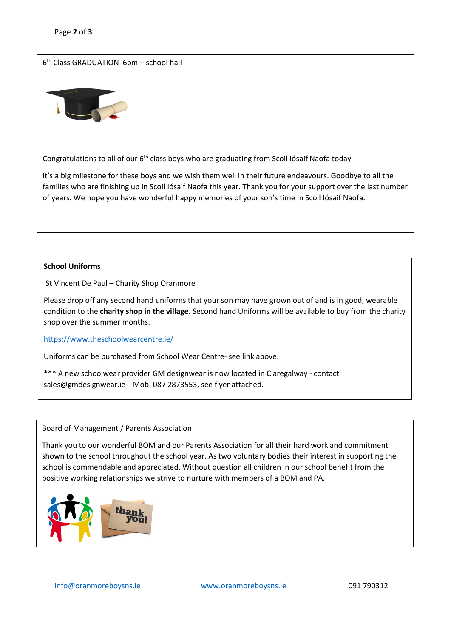6 th Class GRADUATION 6pm – school hall



Congratulations to all of our 6<sup>th</sup> class boys who are graduating from Scoil Iósaif Naofa today

It's a big milestone for these boys and we wish them well in their future endeavours. Goodbye to all the families who are finishing up in Scoil Iósaif Naofa this year. Thank you for your support over the last number of years. We hope you have wonderful happy memories of your son's time in Scoil Iósaif Naofa.

## **School Uniforms**

֖֖֚֚֚֬

St Vincent De Paul – Charity Shop Oranmore

Please drop off any second hand uniforms that your son may have grown out of and is in good, wearable condition to the **charity shop in the village**. Second hand Uniforms will be available to buy from the charity shop over the summer months.

<https://www.theschoolwearcentre.ie/>

Uniforms can be purchased from School Wear Centre- see link above.

\*\*\* A new schoolwear provider GM designwear is now located in Claregalway - contact sales@gmdesignwear.ie Mob: 087 2873553, see flyer attached.

## Board of Management / Parents Association

Thank you to our wonderful BOM and our Parents Association for all their hard work and commitment shown to the school throughout the school year. As two voluntary bodies their interest in supporting the school is commendable and appreciated. Without question all children in our school benefit from the positive working relationships we strive to nurture with members of a BOM and PA.